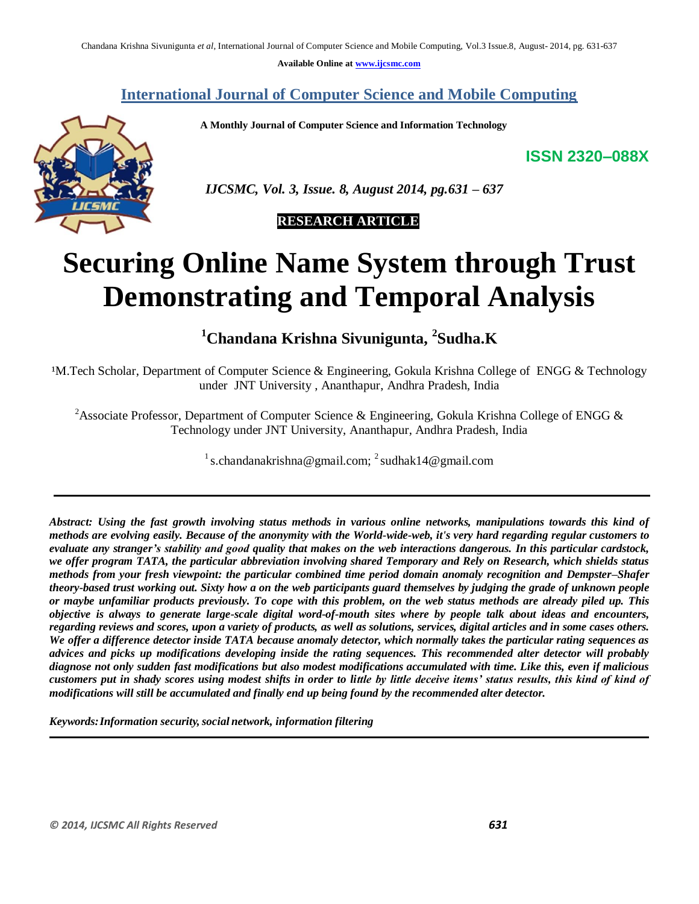**Available Online at www.ijcsmc.com**

# **International Journal of Computer Science and Mobile Computing**

 **A Monthly Journal of Computer Science and Information Technology**

**ISSN 2320–088X**



 *IJCSMC, Vol. 3, Issue. 8, August 2014, pg.631 – 637*

# **RESEARCH ARTICLE**

# **Securing Online Name System through Trust Demonstrating and Temporal Analysis**

**<sup>1</sup>Chandana Krishna Sivunigunta, 2 Sudha.K**

<sup>1</sup>M.Tech Scholar, Department of Computer Science & Engineering, Gokula Krishna College of ENGG & Technology under JNT University , Ananthapur, Andhra Pradesh, India

<sup>2</sup>Associate Professor, Department of Computer Science & Engineering, Gokula Krishna College of ENGG & Technology under JNT University, Ananthapur, Andhra Pradesh, India

<sup>1</sup> s.chandanakrishna@gmail.com; <sup>2</sup> sudhak14@gmail.com

*Abstract: Using the fast growth involving status methods in various online networks, manipulations towards this kind of methods are evolving easily. Because of the anonymity with the World-wide-web, it's very hard regarding regular customers to evaluate any stranger's stability and good quality that makes on the web interactions dangerous. In this particular cardstock, we offer program TATA, the particular abbreviation involving shared Temporary and Rely on Research, which shields status methods from your fresh viewpoint: the particular combined time period domain anomaly recognition and Dempster–Shafer theory-based trust working out. Sixty how a on the web participants guard themselves by judging the grade of unknown people or maybe unfamiliar products previously. To cope with this problem, on the web status methods are already piled up. This objective is always to generate large-scale digital word-of-mouth sites where by people talk about ideas and encounters, regarding reviews and scores, upon a variety of products, as well as solutions, services, digital articles and in some cases others. We offer a difference detector inside TATA because anomaly detector, which normally takes the particular rating sequences as advices and picks up modifications developing inside the rating sequences. This recommended alter detector will probably diagnose not only sudden fast modifications but also modest modifications accumulated with time. Like this, even if malicious customers put in shady scores using modest shifts in order to little by little deceive items' status results, this kind of kind of modifications will still be accumulated and finally end up being found by the recommended alter detector.*

*Keywords:Information security,social network, information filtering*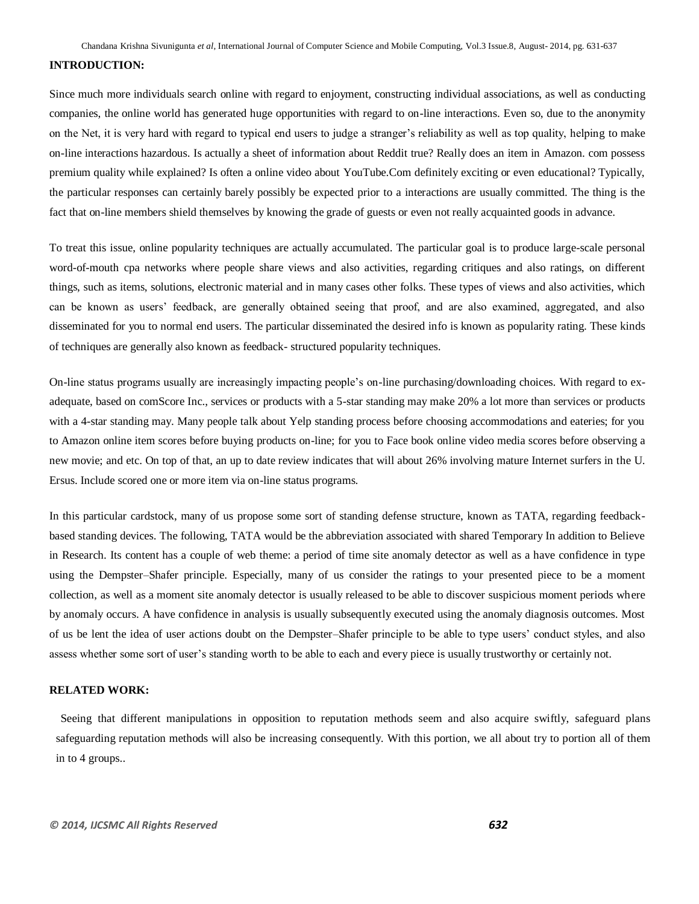#### **INTRODUCTION:**

Since much more individuals search online with regard to enjoyment, constructing individual associations, as well as conducting companies, the online world has generated huge opportunities with regard to on-line interactions. Even so, due to the anonymity on the Net, it is very hard with regard to typical end users to judge a stranger's reliability as well as top quality, helping to make on-line interactions hazardous. Is actually a sheet of information about Reddit true? Really does an item in Amazon. com possess premium quality while explained? Is often a online video about YouTube.Com definitely exciting or even educational? Typically, the particular responses can certainly barely possibly be expected prior to a interactions are usually committed. The thing is the fact that on-line members shield themselves by knowing the grade of guests or even not really acquainted goods in advance.

To treat this issue, online popularity techniques are actually accumulated. The particular goal is to produce large-scale personal word-of-mouth cpa networks where people share views and also activities, regarding critiques and also ratings, on different things, such as items, solutions, electronic material and in many cases other folks. These types of views and also activities, which can be known as users' feedback, are generally obtained seeing that proof, and are also examined, aggregated, and also disseminated for you to normal end users. The particular disseminated the desired info is known as popularity rating. These kinds of techniques are generally also known as feedback- structured popularity techniques.

On-line status programs usually are increasingly impacting people's on-line purchasing/downloading choices. With regard to exadequate, based on comScore Inc., services or products with a 5-star standing may make 20% a lot more than services or products with a 4-star standing may. Many people talk about Yelp standing process before choosing accommodations and eateries; for you to Amazon online item scores before buying products on-line; for you to Face book online video media scores before observing a new movie; and etc. On top of that, an up to date review indicates that will about 26% involving mature Internet surfers in the U. Ersus. Include scored one or more item via on-line status programs.

In this particular cardstock, many of us propose some sort of standing defense structure, known as TATA, regarding feedbackbased standing devices. The following, TATA would be the abbreviation associated with shared Temporary In addition to Believe in Research. Its content has a couple of web theme: a period of time site anomaly detector as well as a have confidence in type using the Dempster–Shafer principle. Especially, many of us consider the ratings to your presented piece to be a moment collection, as well as a moment site anomaly detector is usually released to be able to discover suspicious moment periods where by anomaly occurs. A have confidence in analysis is usually subsequently executed using the anomaly diagnosis outcomes. Most of us be lent the idea of user actions doubt on the Dempster–Shafer principle to be able to type users' conduct styles, and also assess whether some sort of user's standing worth to be able to each and every piece is usually trustworthy or certainly not.

## **RELATED WORK:**

Seeing that different manipulations in opposition to reputation methods seem and also acquire swiftly, safeguard plans safeguarding reputation methods will also be increasing consequently. With this portion, we all about try to portion all of them in to 4 groups..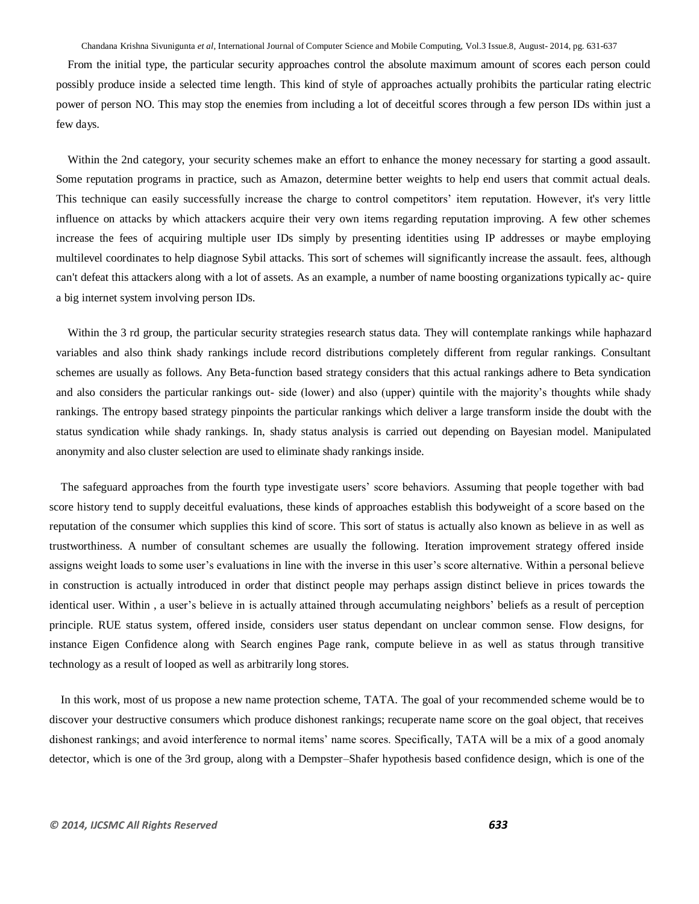From the initial type, the particular security approaches control the absolute maximum amount of scores each person could possibly produce inside a selected time length. This kind of style of approaches actually prohibits the particular rating electric power of person NO. This may stop the enemies from including a lot of deceitful scores through a few person IDs within just a few days.

Within the 2nd category, your security schemes make an effort to enhance the money necessary for starting a good assault. Some reputation programs in practice, such as Amazon, determine better weights to help end users that commit actual deals. This technique can easily successfully increase the charge to control competitors' item reputation. However, it's very little influence on attacks by which attackers acquire their very own items regarding reputation improving. A few other schemes increase the fees of acquiring multiple user IDs simply by presenting identities using IP addresses or maybe employing multilevel coordinates to help diagnose Sybil attacks. This sort of schemes will significantly increase the assault. fees, although can't defeat this attackers along with a lot of assets. As an example, a number of name boosting organizations typically ac- quire a big internet system involving person IDs.

Within the 3 rd group, the particular security strategies research status data. They will contemplate rankings while haphazard variables and also think shady rankings include record distributions completely different from regular rankings. Consultant schemes are usually as follows. Any Beta-function based strategy considers that this actual rankings adhere to Beta syndication and also considers the particular rankings out- side (lower) and also (upper) quintile with the majority's thoughts while shady rankings. The entropy based strategy pinpoints the particular rankings which deliver a large transform inside the doubt with the status syndication while shady rankings. In, shady status analysis is carried out depending on Bayesian model. Manipulated anonymity and also cluster selection are used to eliminate shady rankings inside.

The safeguard approaches from the fourth type investigate users' score behaviors. Assuming that people together with bad score history tend to supply deceitful evaluations, these kinds of approaches establish this bodyweight of a score based on the reputation of the consumer which supplies this kind of score. This sort of status is actually also known as believe in as well as trustworthiness. A number of consultant schemes are usually the following. Iteration improvement strategy offered inside assigns weight loads to some user's evaluations in line with the inverse in this user's score alternative. Within a personal believe in construction is actually introduced in order that distinct people may perhaps assign distinct believe in prices towards the identical user. Within , a user's believe in is actually attained through accumulating neighbors' beliefs as a result of perception principle. RUE status system, offered inside, considers user status dependant on unclear common sense. Flow designs, for instance Eigen Confidence along with Search engines Page rank, compute believe in as well as status through transitive technology as a result of looped as well as arbitrarily long stores.

In this work, most of us propose a new name protection scheme, TATA. The goal of your recommended scheme would be to discover your destructive consumers which produce dishonest rankings; recuperate name score on the goal object, that receives dishonest rankings; and avoid interference to normal items' name scores. Specifically, TATA will be a mix of a good anomaly detector, which is one of the 3rd group, along with a Dempster–Shafer hypothesis based confidence design, which is one of the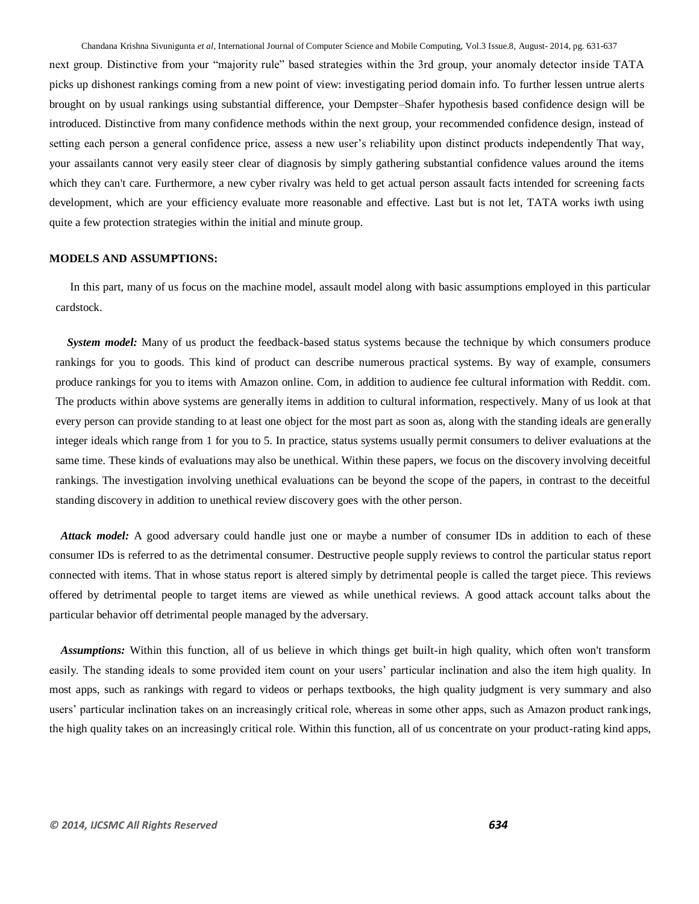next group. Distinctive from your "majority rule" based strategies within the 3rd group, your anomaly detector inside TATA picks up dishonest rankings coming from a new point of view: investigating period domain info. To further lessen untrue alerts brought on by usual rankings using substantial difference, your Dempster–Shafer hypothesis based confidence design will be introduced. Distinctive from many confidence methods within the next group, your recommended confidence design, instead of setting each person a general confidence price, assess a new user's reliability upon distinct products independently That way, your assailants cannot very easily steer clear of diagnosis by simply gathering substantial confidence values around the items which they can't care. Furthermore, a new cyber rivalry was held to get actual person assault facts intended for screening facts development, which are your efficiency evaluate more reasonable and effective. Last but is not let, TATA works iwth using quite a few protection strategies within the initial and minute group.

# **MODELS AND ASSUMPTIONS:**

In this part, many of us focus on the machine model, assault model along with basic assumptions employed in this particular cardstock.

*System model:* Many of us product the feedback-based status systems because the technique by which consumers produce rankings for you to goods. This kind of product can describe numerous practical systems. By way of example, consumers produce rankings for you to items with Amazon online. Com, in addition to audience fee cultural information with Reddit. com. The products within above systems are generally items in addition to cultural information, respectively. Many of us look at that every person can provide standing to at least one object for the most part as soon as, along with the standing ideals are generally integer ideals which range from 1 for you to 5. In practice, status systems usually permit consumers to deliver evaluations at the same time. These kinds of evaluations may also be unethical. Within these papers, we focus on the discovery involving deceitful rankings. The investigation involving unethical evaluations can be beyond the scope of the papers, in contrast to the deceitful standing discovery in addition to unethical review discovery goes with the other person.

*Attack model:* A good adversary could handle just one or maybe a number of consumer IDs in addition to each of these consumer IDs is referred to as the detrimental consumer. Destructive people supply reviews to control the particular status report connected with items. That in whose status report is altered simply by detrimental people is called the target piece. This reviews offered by detrimental people to target items are viewed as while unethical reviews. A good attack account talks about the particular behavior off detrimental people managed by the adversary.

*Assumptions:* Within this function, all of us believe in which things get built-in high quality, which often won't transform easily. The standing ideals to some provided item count on your users' particular inclination and also the item high quality. In most apps, such as rankings with regard to videos or perhaps textbooks, the high quality judgment is very summary and also users' particular inclination takes on an increasingly critical role, whereas in some other apps, such as Amazon product rankings, the high quality takes on an increasingly critical role. Within this function, all of us concentrate on your product-rating kind apps,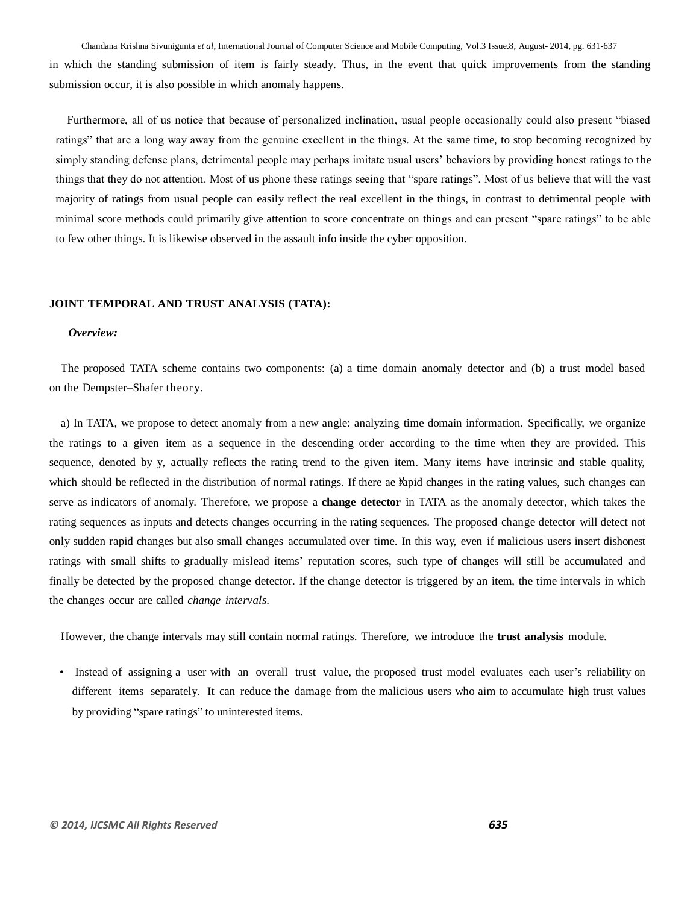Chandana Krishna Sivunigunta *et al*, International Journal of Computer Science and Mobile Computing, Vol.3 Issue.8, August- 2014, pg. 631-637 in which the standing submission of item is fairly steady. Thus, in the event that quick improvements from the standing submission occur, it is also possible in which anomaly happens.

Furthermore, all of us notice that because of personalized inclination, usual people occasionally could also present "biased ratings" that are a long way away from the genuine excellent in the things. At the same time, to stop becoming recognized by simply standing defense plans, detrimental people may perhaps imitate usual users' behaviors by providing honest ratings to the things that they do not attention. Most of us phone these ratings seeing that "spare ratings". Most of us believe that will the vast majority of ratings from usual people can easily reflect the real excellent in the things, in contrast to detrimental people with minimal score methods could primarily give attention to score concentrate on things and can present "spare ratings" to be able to few other things. It is likewise observed in the assault info inside the cyber opposition.

#### **JOINT TEMPORAL AND TRUST ANALYSIS (TATA):**

## *Overview:*

The proposed TATA scheme contains two components: (a) a time domain anomaly detector and (b) a trust model based on the Dempster–Shafer theory.

a) In TATA, we propose to detect anomaly from a new angle: analyzing time domain information. Specifically, we organize the ratings to a given item as a sequence in the descending order according to the time when they are provided. This sequence, denoted by y, actually reflects the rating trend to the given item. Many items have intrinsic and stable quality, which should be reflected in the distribution of normal ratings. If there ae  $\hat{t}$  apid changes in the rating values, such changes can serve as indicators of anomaly. Therefore, we propose a **change detector** in TATA as the anomaly detector, which takes the rating sequences as inputs and detects changes occurring in the rating sequences. The proposed change detector will detect not only sudden rapid changes but also small changes accumulated over time. In this way, even if malicious users insert dishonest ratings with small shifts to gradually mislead items' reputation scores, such type of changes will still be accumulated and finally be detected by the proposed change detector. If the change detector is triggered by an item, the time intervals in which the changes occur are called *change intervals*.

However, the change intervals may still contain normal ratings. Therefore, we introduce the **trust analysis** module.

• Instead of assigning a user with an overall trust value, the proposed trust model evaluates each user's reliability on different items separately. It can reduce the damage from the malicious users who aim to accumulate high trust values by providing "spare ratings" to uninterested items.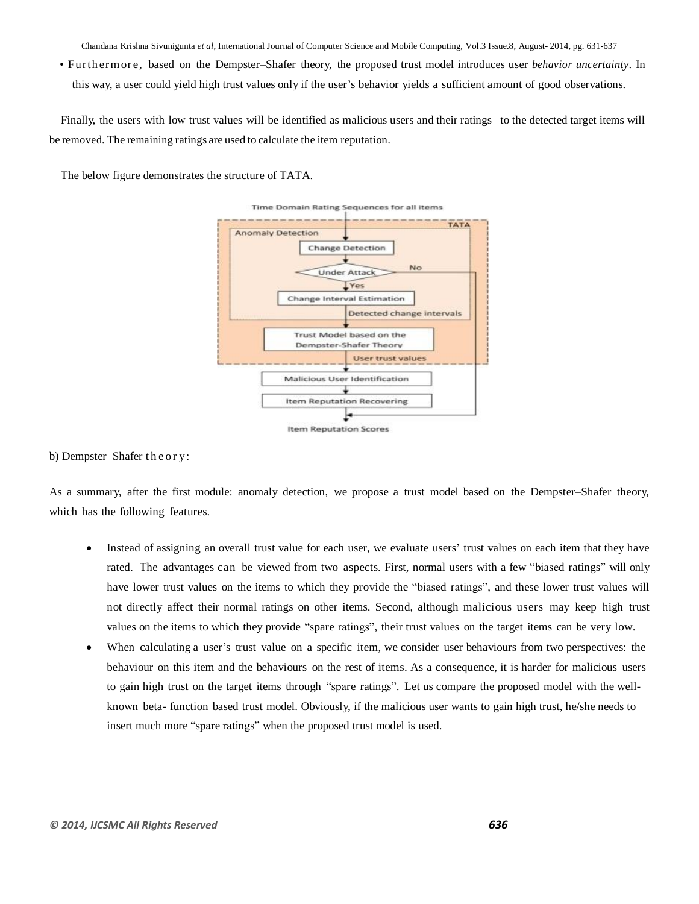• Furth erm or e, based on the Dempster–Shafer theory, the proposed trust model introduces user *behavior uncertainty*. In this way, a user could yield high trust values only if the user's behavior yields a sufficient amount of good observations.

Finally, the users with low trust values will be identified as malicious users and their ratings to the detected target items will be removed. The remaining ratings are used to calculate the item reputation.

The below figure demonstrates the structure of TATA.



## b) Dempster–Shafer the ory:

As a summary, after the first module: anomaly detection, we propose a trust model based on the Dempster–Shafer theory, which has the following features.

- Instead of assigning an overall trust value for each user, we evaluate users' trust values on each item that they have rated. The advantages can be viewed from two aspects. First, normal users with a few "biased ratings" will only have lower trust values on the items to which they provide the "biased ratings", and these lower trust values will not directly affect their normal ratings on other items. Second, although malicious users may keep high trust values on the items to which they provide "spare ratings", their trust values on the target items can be very low.
- When calculating a user's trust value on a specific item, we consider user behaviours from two perspectives: the behaviour on this item and the behaviours on the rest of items. As a consequence, it is harder for malicious users to gain high trust on the target items through "spare ratings". Let us compare the proposed model with the wellknown beta- function based trust model. Obviously, if the malicious user wants to gain high trust, he/she needs to insert much more "spare ratings" when the proposed trust model is used.